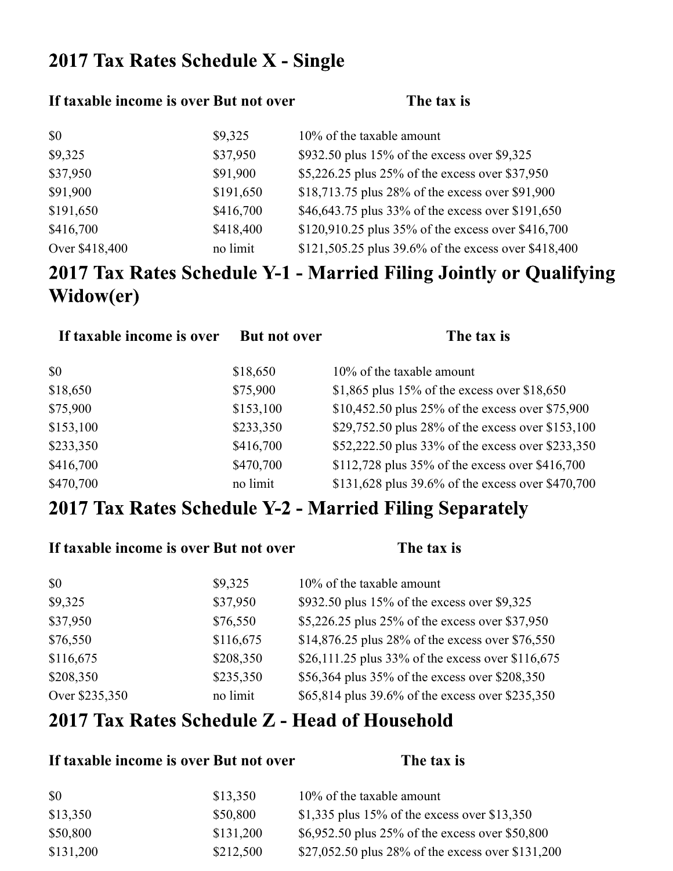### 2017 Tax Rates Schedule X - Single

#### If taxable income is over But not over **The tax** is

| \$0            | \$9,325   | $10\%$ of the taxable amount                          |
|----------------|-----------|-------------------------------------------------------|
| \$9,325        | \$37,950  | \$932.50 plus 15% of the excess over \$9,325          |
| \$37,950       | \$91,900  | \$5,226.25 plus 25% of the excess over \$37,950       |
| \$91,900       | \$191,650 | \$18,713.75 plus 28% of the excess over \$91,900      |
| \$191,650      | \$416,700 | \$46,643.75 plus 33% of the excess over \$191,650     |
| \$416,700      | \$418,400 | \$120,910.25 plus $35\%$ of the excess over \$416,700 |
| Over \$418,400 | no limit  | \$121,505.25 plus 39.6% of the excess over \$418,400  |

# 2017 Tax Rates Schedule Y-1 - Married Filing Jointly or Qualifying Widow(er)

| If taxable income is over | <b>But not over</b> | The tax is                                        |
|---------------------------|---------------------|---------------------------------------------------|
| \$0                       | \$18,650            | 10% of the taxable amount                         |
| \$18,650                  | \$75,900            | \$1,865 plus 15% of the excess over $$18,650$     |
| \$75,900                  | \$153,100           | \$10,452.50 plus 25% of the excess over \$75,900  |
| \$153,100                 | \$233,350           | \$29,752.50 plus 28% of the excess over \$153,100 |
| \$233,350                 | \$416,700           | \$52,222.50 plus 33% of the excess over \$233,350 |
| \$416,700                 | \$470,700           | \$112,728 plus 35% of the excess over \$416,700   |
| \$470,700                 | no limit            | \$131,628 plus 39.6% of the excess over \$470,700 |

## 2017 Tax Rates Schedule Y-2 - Married Filing Separately

| If taxable income is over But not over |           | The tax is                                        |
|----------------------------------------|-----------|---------------------------------------------------|
| \$0                                    | \$9,325   | 10% of the taxable amount                         |
| \$9,325                                | \$37,950  | \$932.50 plus 15% of the excess over \$9,325      |
| \$37,950                               | \$76,550  | \$5,226.25 plus 25% of the excess over \$37,950   |
| \$76,550                               | \$116,675 | \$14,876.25 plus 28% of the excess over \$76,550  |
| \$116,675                              | \$208,350 | \$26,111.25 plus 33% of the excess over \$116,675 |
| \$208,350                              | \$235,350 | \$56,364 plus 35% of the excess over \$208,350    |
| Over \$235,350                         | no limit  | \$65,814 plus 39.6% of the excess over \$235,350  |

#### 2017 Tax Rates Schedule Z - Head of Household

#### **If taxable income is over But not over The tax is**

| \$0       | \$13,350  | 10% of the taxable amount                         |
|-----------|-----------|---------------------------------------------------|
| \$13,350  | \$50,800  | \$1,335 plus 15% of the excess over \$13,350      |
| \$50,800  | \$131,200 | \$6,952.50 plus 25% of the excess over \$50,800   |
| \$131,200 | \$212,500 | \$27,052.50 plus 28% of the excess over \$131,200 |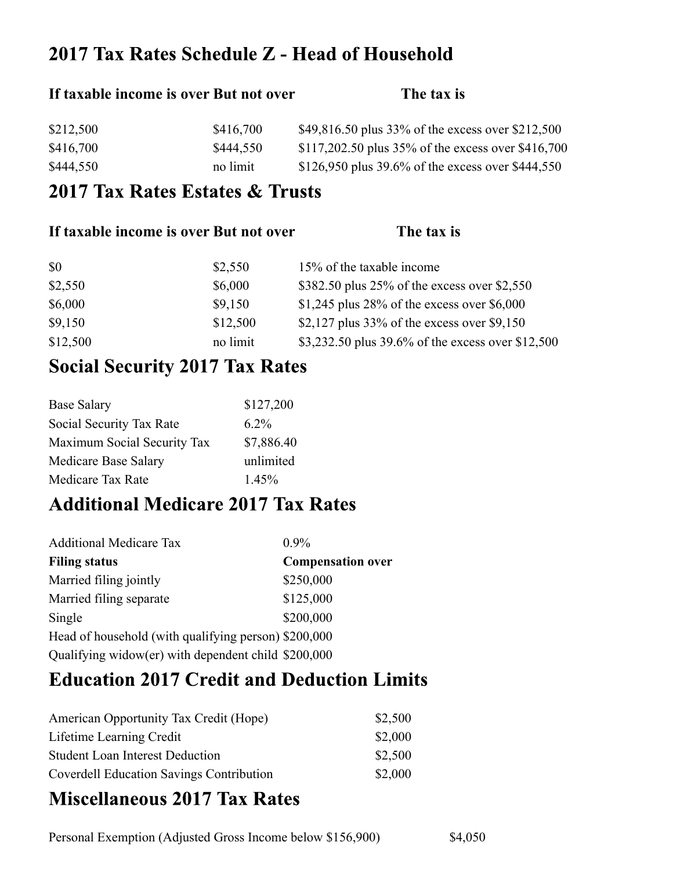### 2017 Tax Rates Schedule Z - Head of Household

## If taxable income is over But not over The tax is \$212,500 \$416,700 \$49,816.50 plus 33% of the excess over \$212,500 \$416,700 \$444,550 \$117,202.50 plus 35% of the excess over \$416,700 \$444,550 no limit \$126,950 plus 39.6% of the excess over \$444,550

#### 2017 Tax Rates Estates & Trusts

| If taxable income is over But not over |          | The tax is                                        |
|----------------------------------------|----------|---------------------------------------------------|
| \$0                                    | \$2,550  | 15% of the taxable income                         |
| \$2,550                                | \$6,000  | \$382.50 plus 25% of the excess over \$2,550      |
| \$6,000                                | \$9,150  | \$1,245 plus 28% of the excess over $$6,000$      |
| \$9,150                                | \$12,500 | \$2,127 plus $33\%$ of the excess over \$9,150    |
| \$12,500                               | no limit | \$3,232.50 plus 39.6% of the excess over \$12,500 |

#### **Social Security 2017 Tax Rates**

| <b>Base Salary</b>          | \$127,200  |
|-----------------------------|------------|
| Social Security Tax Rate    | $6.2\%$    |
| Maximum Social Security Tax | \$7,886.40 |
| Medicare Base Salary        | unlimited  |
| Medicare Tax Rate           | $1.45\%$   |

#### **Additional Medicare 2017 Tax Rates**

| <b>Additional Medicare Tax</b>                       | $0.9\%$                  |
|------------------------------------------------------|--------------------------|
| <b>Filing status</b>                                 | <b>Compensation over</b> |
| Married filing jointly                               | \$250,000                |
| Married filing separate                              | \$125,000                |
| Single                                               | \$200,000                |
| Head of household (with qualifying person) \$200,000 |                          |
| Qualifying widow(er) with dependent child \$200,000  |                          |

#### **Education 2017 Credit and Deduction Limits**

| American Opportunity Tax Credit (Hope)          | \$2,500 |
|-------------------------------------------------|---------|
| Lifetime Learning Credit                        | \$2,000 |
| <b>Student Loan Interest Deduction</b>          | \$2,500 |
| <b>Coverdell Education Savings Contribution</b> | \$2,000 |

## **Miscellaneous 2017 Tax Rates**

Personal Exemption (Adjusted Gross Income below \$156,900) \$4,050